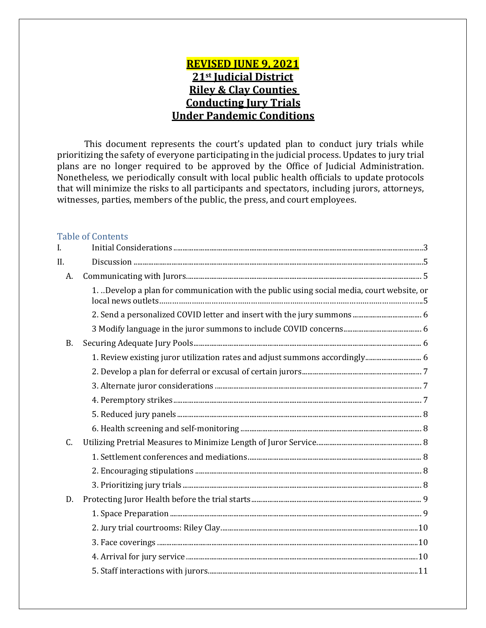## **REVISED JUNE 9, 2021 21st Judicial District Riley & Clay Counties Conducting Jury Trials Under Pandemic Conditions**

 This document represents the court's updated plan to conduct jury trials while prioritizing the safety of everyone participating in the judicial process. Updates to jury trial plans are no longer required to be approved by the Office of Judicial Administration. Nonetheless, we periodically consult with local public health officials to update protocols that will minimize the risks to all participants and spectators, including jurors, attorneys, witnesses, parties, members of the public, the press, and court employees.

#### Table of Contents

| I.        |                                                                                           |  |
|-----------|-------------------------------------------------------------------------------------------|--|
| II.       |                                                                                           |  |
| A.        |                                                                                           |  |
|           | 1. Develop a plan for communication with the public using social media, court website, or |  |
|           |                                                                                           |  |
|           |                                                                                           |  |
| <b>B.</b> |                                                                                           |  |
|           | 1. Review existing juror utilization rates and adjust summons accordingly 6               |  |
|           |                                                                                           |  |
|           |                                                                                           |  |
|           |                                                                                           |  |
|           |                                                                                           |  |
|           |                                                                                           |  |
| C.        |                                                                                           |  |
|           |                                                                                           |  |
|           |                                                                                           |  |
|           |                                                                                           |  |
| D.        |                                                                                           |  |
|           |                                                                                           |  |
|           |                                                                                           |  |
|           |                                                                                           |  |
|           |                                                                                           |  |
|           |                                                                                           |  |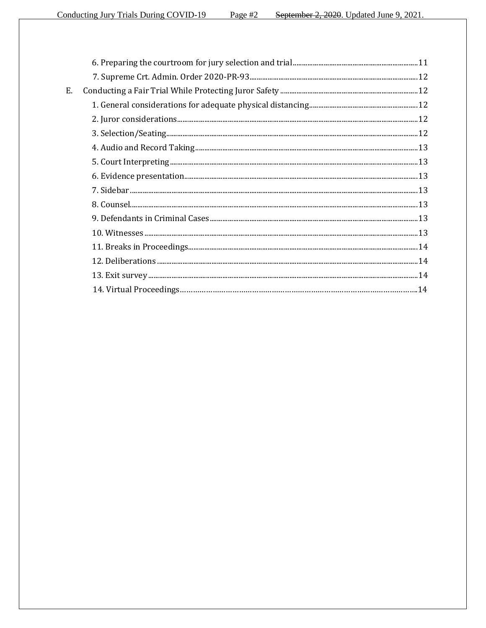| Ε. |  |
|----|--|
|    |  |
|    |  |
|    |  |
|    |  |
|    |  |
|    |  |
|    |  |
|    |  |
|    |  |
|    |  |
|    |  |
|    |  |
|    |  |
|    |  |
|    |  |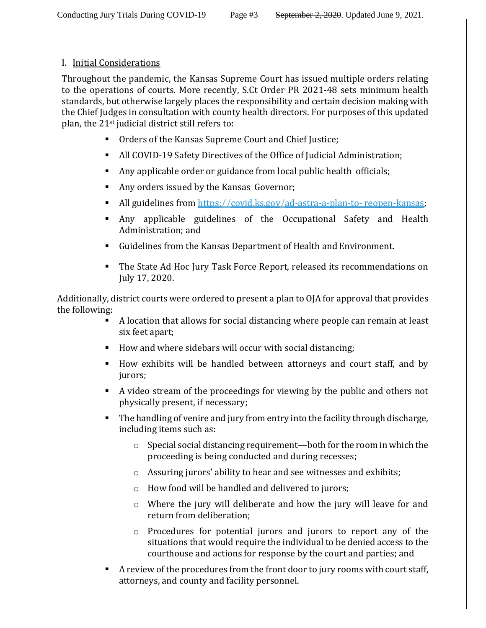#### I. Initial Considerations

Throughout the pandemic, the Kansas Supreme Court has issued multiple orders relating to the operations of courts. More recently, S.Ct Order PR 2021-48 sets minimum health standards, but otherwise largely places the responsibility and certain decision making with the Chief Judges in consultation with county health directors. For purposes of this updated plan, the 21st judicial district still refers to:

- **Orders of the Kansas Supreme Court and Chief Justice;**
- All COVID-19 Safety Directives of the Office of Judicial Administration;
- Any applicable order or guidance from local public health officials;
- Any orders issued by the Kansas Governor;
- All guidelines from https://covid.ks.gov/ad-astra-a-plan-to- reopen-kansas;
- Any applicable guidelines of the Occupational Safety and Health Administration; and
- Guidelines from the Kansas Department of Health and Environment.
- The State Ad Hoc Jury Task Force Report, released its recommendations on July 17, 2020.

Additionally, district courts were ordered to present a plan to OJA for approval that provides the following:

- A location that allows for social distancing where people can remain at least six feet apart;
- How and where sidebars will occur with social distancing;
- How exhibits will be handled between attorneys and court staff, and by jurors;
- A video stream of the proceedings for viewing by the public and others not physically present, if necessary;
- The handling of venire and jury from entry into the facility through discharge, including items such as:
	- o Special social distancing requirement—both for the room in which the proceeding is being conducted and during recesses;
	- o Assuring jurors' ability to hear and see witnesses and exhibits;
	- o How food will be handled and delivered to jurors;
	- o Where the jury will deliberate and how the jury will leave for and return from deliberation;
	- o Procedures for potential jurors and jurors to report any of the situations that would require the individual to be denied access to the courthouse and actions for response by the court and parties; and
- A review of the procedures from the front door to jury rooms with court staff, attorneys, and county and facility personnel.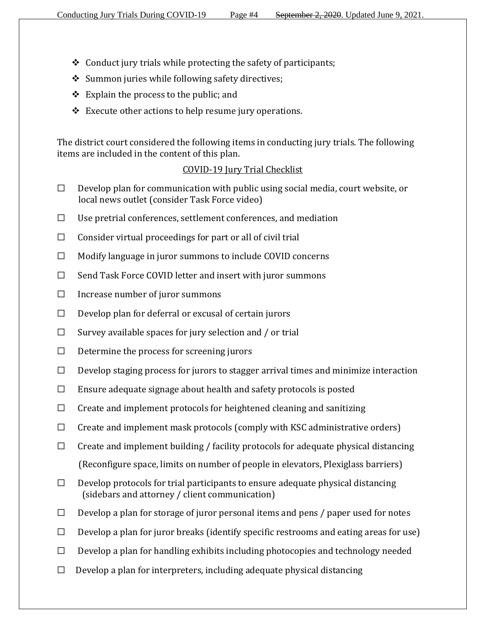- $\triangle$  Conduct jury trials while protecting the safety of participants;
- Summon juries while following safety directives;
- $\triangleleft$  Explain the process to the public; and
- $\triangle$  Execute other actions to help resume jury operations.

The district court considered the following items in conducting jury trials. The following items are included in the content of this plan.

### COVID-19 Jury Trial Checklist

- $\Box$  Develop plan for communication with public using social media, court website, or local news outlet (consider Task Force video)
- $\Box$  Use pretrial conferences, settlement conferences, and mediation
- $\Box$  Consider virtual proceedings for part or all of civil trial
- ☐ Modify language in juror summons to include COVID concerns
- ☐ Send Task Force COVID letter and insert with juror summons
- $\Box$  Increase number of juror summons
- $\Box$  Develop plan for deferral or excusal of certain jurors
- $\Box$  Survey available spaces for jury selection and / or trial
- $\Box$  Determine the process for screening jurors
- ☐ Develop staging process for jurors to stagger arrival times and minimize interaction
- $\Box$  Ensure adequate signage about health and safety protocols is posted
- $\Box$  Create and implement protocols for heightened cleaning and sanitizing
- $\Box$  Create and implement mask protocols (comply with KSC administrative orders)
- $\Box$  Create and implement building / facility protocols for adequate physical distancing (Reconfigure space, limits on number of people in elevators, Plexiglass barriers)
- $\Box$  Develop protocols for trial participants to ensure adequate physical distancing (sidebars and attorney / client communication)
- $\Box$  Develop a plan for storage of juror personal items and pens / paper used for notes
- $\Box$  Develop a plan for juror breaks (identify specific restrooms and eating areas for use)
- $\Box$  Develop a plan for handling exhibits including photocopies and technology needed
- $\Box$  Develop a plan for interpreters, including adequate physical distancing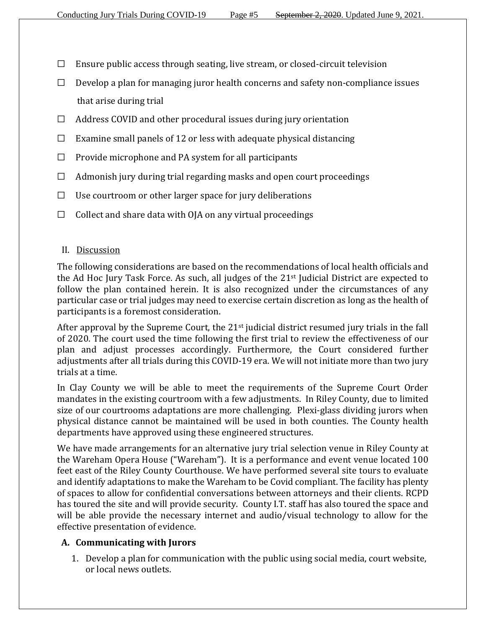- $\Box$  Ensure public access through seating, live stream, or closed-circuit television
- $\Box$  Develop a plan for managing juror health concerns and safety non-compliance issues that arise during trial
- $\Box$  Address COVID and other procedural issues during jury orientation
- $\Box$  Examine small panels of 12 or less with adequate physical distancing
- $\Box$  Provide microphone and PA system for all participants
- $\Box$  Admonish jury during trial regarding masks and open court proceedings
- $\Box$  Use courtroom or other larger space for jury deliberations
- $\Box$  Collect and share data with OJA on any virtual proceedings

#### II. Discussion

The following considerations are based on the recommendations of local health officials and the Ad Hoc Jury Task Force. As such, all judges of the 21st Judicial District are expected to follow the plan contained herein. It is also recognized under the circumstances of any particular case or trial judges may need to exercise certain discretion as long as the health of participants is a foremost consideration.

After approval by the Supreme Court, the 21<sup>st</sup> judicial district resumed jury trials in the fall of 2020. The court used the time following the first trial to review the effectiveness of our plan and adjust processes accordingly. Furthermore, the Court considered further adjustments after all trials during this COVID-19 era. We will not initiate more than two jury trials at a time.

In Clay County we will be able to meet the requirements of the Supreme Court Order mandates in the existing courtroom with a few adjustments. In Riley County, due to limited size of our courtrooms adaptations are more challenging. Plexi-glass dividing jurors when physical distance cannot be maintained will be used in both counties. The County health departments have approved using these engineered structures.

We have made arrangements for an alternative jury trial selection venue in Riley County at the Wareham Opera House ("Wareham"). It is a performance and event venue located 100 feet east of the Riley County Courthouse. We have performed several site tours to evaluate and identify adaptations to make the Wareham to be Covid compliant. The facility has plenty of spaces to allow for confidential conversations between attorneys and their clients. RCPD has toured the site and will provide security. County I.T. staff has also toured the space and will be able provide the necessary internet and audio/visual technology to allow for the effective presentation of evidence.

#### **A. Communicating with Jurors**

1. Develop a plan for communication with the public using social media, court website, or local news outlets.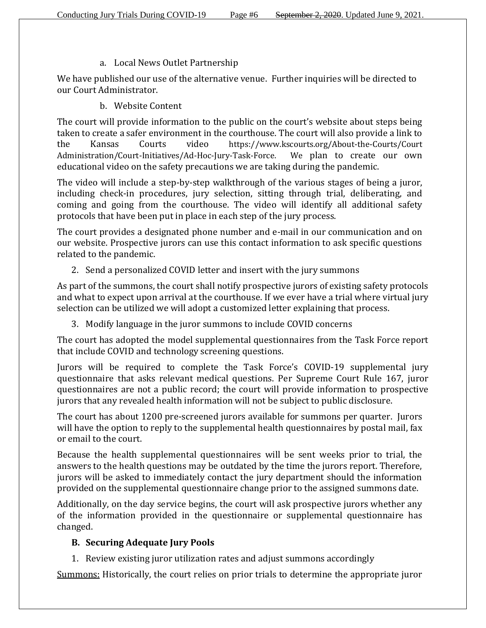#### a. Local News Outlet Partnership

We have published our use of the alternative venue. Further inquiries will be directed to our Court Administrator.

b. Website Content

The court will provide information to the public on the court's website about steps being taken to create a safer environment in the courthouse. The court will also provide a link to the Kansas Courts video [https://www.kscourts.org/About-the-Courts/Court](https://www.kscourts.org/About-the-Courts/Court%20Administration/Court-Initiatives/Ad-Hoc-Jury-Task-Force)  [Administration/Court-Initiatives/Ad-Hoc-Jury-Task-Force.](https://www.kscourts.org/About-the-Courts/Court%20Administration/Court-Initiatives/Ad-Hoc-Jury-Task-Force) We plan to create our own educational video on the safety precautions we are taking during the pandemic.

The video will include a step-by-step walkthrough of the various stages of being a juror, including check-in procedures, jury selection, sitting through trial, deliberating, and coming and going from the courthouse. The video will identify all additional safety protocols that have been put in place in each step of the jury process.

The court provides a designated phone number and e-mail in our communication and on our website. Prospective jurors can use this contact information to ask specific questions related to the pandemic.

2. Send a personalized COVID letter and insert with the jury summons

As part of the summons, the court shall notify prospective jurors of existing safety protocols and what to expect upon arrival at the courthouse. If we ever have a trial where virtual jury selection can be utilized we will adopt a customized letter explaining that process.

3. Modify language in the juror summons to include COVID concerns

The court has adopted the model supplemental questionnaires from the Task Force report that include COVID and technology screening questions.

Jurors will be required to complete the Task Force's COVID-19 supplemental jury questionnaire that asks relevant medical questions. Per Supreme Court Rule 167, juror questionnaires are not a public record; the court will provide information to prospective jurors that any revealed health information will not be subject to public disclosure.

The court has about 1200 pre-screened jurors available for summons per quarter. Jurors will have the option to reply to the supplemental health questionnaires by postal mail, fax or email to the court.

Because the health supplemental questionnaires will be sent weeks prior to trial, the answers to the health questions may be outdated by the time the jurors report. Therefore, jurors will be asked to immediately contact the jury department should the information provided on the supplemental questionnaire change prior to the assigned summons date.

Additionally, on the day service begins, the court will ask prospective jurors whether any of the information provided in the questionnaire or supplemental questionnaire has changed.

### **B. Securing Adequate Jury Pools**

1. Review existing juror utilization rates and adjust summons accordingly

Summons: Historically, the court relies on prior trials to determine the appropriate juror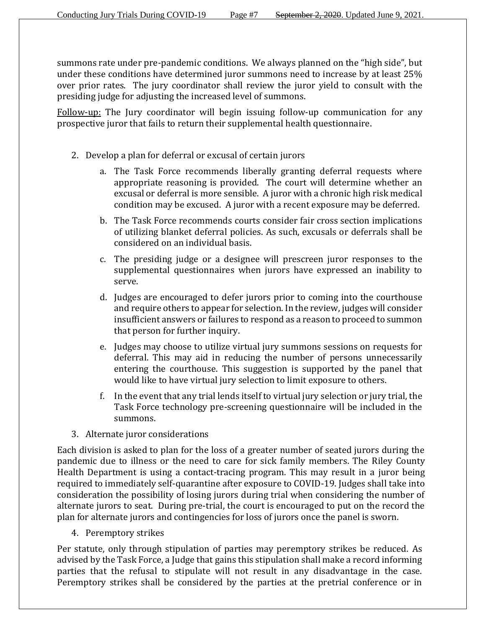summons rate under pre-pandemic conditions. We always planned on the "high side", but under these conditions have determined juror summons need to increase by at least 25% over prior rates. The jury coordinator shall review the juror yield to consult with the presiding judge for adjusting the increased level of summons.

Follow-up: The Jury coordinator will begin issuing follow-up communication for any prospective juror that fails to return their supplemental health questionnaire.

- 2. Develop a plan for deferral or excusal of certain jurors
	- a. The Task Force recommends liberally granting deferral requests where appropriate reasoning is provided. The court will determine whether an excusal or deferral is more sensible. A juror with a chronic high risk medical condition may be excused. A juror with a recent exposure may be deferred.
	- b. The Task Force recommends courts consider fair cross section implications of utilizing blanket deferral policies. As such, excusals or deferrals shall be considered on an individual basis.
	- c. The presiding judge or a designee will prescreen juror responses to the supplemental questionnaires when jurors have expressed an inability to serve.
	- d. Judges are encouraged to defer jurors prior to coming into the courthouse and require others to appear for selection. In the review, judges will consider insufficient answers or failures to respond as a reason to proceed to summon that person for further inquiry.
	- e. Judges may choose to utilize virtual jury summons sessions on requests for deferral. This may aid in reducing the number of persons unnecessarily entering the courthouse. This suggestion is supported by the panel that would like to have virtual jury selection to limit exposure to others.
	- f. In the event that any trial lends itself to virtual jury selection or jury trial, the Task Force technology pre-screening questionnaire will be included in the summons.
- 3. Alternate juror considerations

Each division is asked to plan for the loss of a greater number of seated jurors during the pandemic due to illness or the need to care for sick family members. The Riley County Health Department is using a contact-tracing program. This may result in a juror being required to immediately self-quarantine after exposure to COVID-19. Judges shall take into consideration the possibility of losing jurors during trial when considering the number of alternate jurors to seat. During pre-trial, the court is encouraged to put on the record the plan for alternate jurors and contingencies for loss of jurors once the panel is sworn.

4. Peremptory strikes

Per statute, only through stipulation of parties may peremptory strikes be reduced. As advised by the Task Force, a Judge that gains this stipulation shall make a record informing parties that the refusal to stipulate will not result in any disadvantage in the case. Peremptory strikes shall be considered by the parties at the pretrial conference or in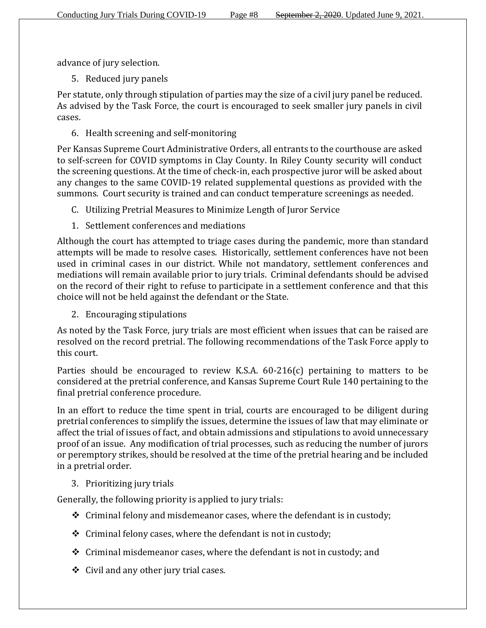advance of jury selection.

5. Reduced jury panels

Per statute, only through stipulation of parties may the size of a civil jury panel be reduced. As advised by the Task Force, the court is encouraged to seek smaller jury panels in civil cases.

6. Health screening and self-monitoring

Per Kansas Supreme Court Administrative Orders, all entrants to the courthouse are asked to self-screen for COVID symptoms in Clay County. In Riley County security will conduct the screening questions. At the time of check-in, each prospective juror will be asked about any changes to the same COVID-19 related supplemental questions as provided with the summons. Court security is trained and can conduct temperature screenings as needed.

- C. Utilizing Pretrial Measures to Minimize Length of Juror Service
- 1. Settlement conferences and mediations

Although the court has attempted to triage cases during the pandemic, more than standard attempts will be made to resolve cases. Historically, settlement conferences have not been used in criminal cases in our district. While not mandatory, settlement conferences and mediations will remain available prior to jury trials. Criminal defendants should be advised on the record of their right to refuse to participate in a settlement conference and that this choice will not be held against the defendant or the State.

2. Encouraging stipulations

As noted by the Task Force, jury trials are most efficient when issues that can be raised are resolved on the record pretrial. The following recommendations of the Task Force apply to this court.

Parties should be encouraged to review K.S.A. 60-216(c) pertaining to matters to be considered at the pretrial conference, and Kansas Supreme Court Rule 140 pertaining to the final pretrial conference procedure.

In an effort to reduce the time spent in trial, courts are encouraged to be diligent during pretrial conferences to simplify the issues, determine the issues of law that may eliminate or affect the trial of issues of fact, and obtain admissions and stipulations to avoid unnecessary proof of an issue. Any modification of trial processes, such as reducing the number of jurors or peremptory strikes, should be resolved at the time of the pretrial hearing and be included in a pretrial order.

3. Prioritizing jury trials

Generally, the following priority is applied to jury trials:

- $\div$  Criminal felony and misdemeanor cases, where the defendant is in custody;
- $\triangle$  Criminal felony cases, where the defendant is not in custody;
- $\div$  Criminal misdemeanor cases, where the defendant is not in custody; and
- $\div$  Civil and any other jury trial cases.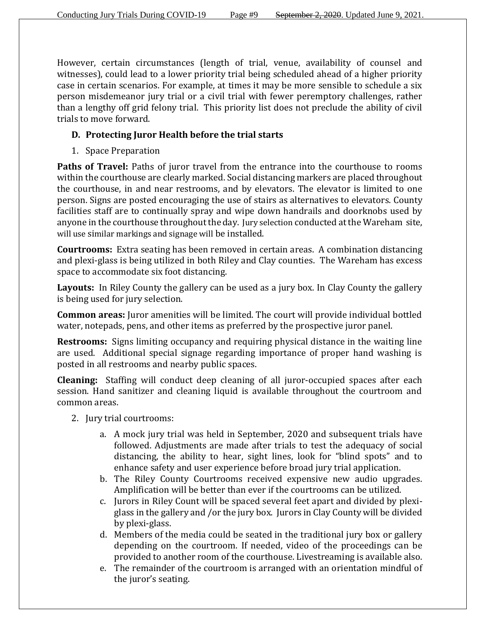However, certain circumstances (length of trial, venue, availability of counsel and witnesses), could lead to a lower priority trial being scheduled ahead of a higher priority case in certain scenarios. For example, at times it may be more sensible to schedule a six person misdemeanor jury trial or a civil trial with fewer peremptory challenges, rather than a lengthy off grid felony trial. This priority list does not preclude the ability of civil trials to move forward.

## **D. Protecting Juror Health before the trial starts**

1. Space Preparation

Paths of Travel: Paths of juror travel from the entrance into the courthouse to rooms within the courthouse are clearly marked. Social distancing markers are placed throughout the courthouse, in and near restrooms, and by elevators. The elevator is limited to one person. Signs are posted encouraging the use of stairs as alternatives to elevators. County facilities staff are to continually spray and wipe down handrails and doorknobs used by anyone in the courthouse throughout the day. Jury selection conducted at the Wareham site, will use similar markings and signage will be installed.

**Courtrooms:** Extra seating has been removed in certain areas. A combination distancing and plexi-glass is being utilized in both Riley and Clay counties. The Wareham has excess space to accommodate six foot distancing.

**Layouts:** In Riley County the gallery can be used as a jury box. In Clay County the gallery is being used for jury selection.

**Common areas:** Juror amenities will be limited. The court will provide individual bottled water, notepads, pens, and other items as preferred by the prospective juror panel.

**Restrooms:** Signs limiting occupancy and requiring physical distance in the waiting line are used. Additional special signage regarding importance of proper hand washing is posted in all restrooms and nearby public spaces.

**Cleaning:** Staffing will conduct deep cleaning of all juror-occupied spaces after each session. Hand sanitizer and cleaning liquid is available throughout the courtroom and common areas.

- 2. Jury trial courtrooms:
	- a. A mock jury trial was held in September, 2020 and subsequent trials have followed. Adjustments are made after trials to test the adequacy of social distancing, the ability to hear, sight lines, look for "blind spots" and to enhance safety and user experience before broad jury trial application.
	- b. The Riley County Courtrooms received expensive new audio upgrades. Amplification will be better than ever if the courtrooms can be utilized.
	- c. Jurors in Riley Count will be spaced several feet apart and divided by plexiglass in the gallery and /or the jury box. Jurors in Clay County will be divided by plexi-glass.
	- d. Members of the media could be seated in the traditional jury box or gallery depending on the courtroom. If needed, video of the proceedings can be provided to another room of the courthouse. Livestreaming is available also.
	- e. The remainder of the courtroom is arranged with an orientation mindful of the juror's seating.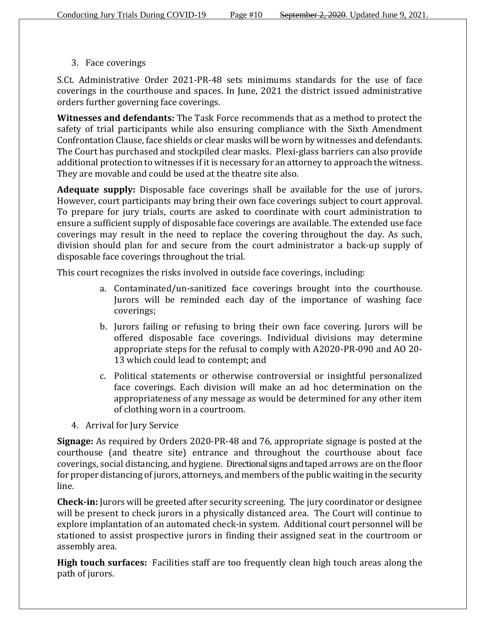3. Face coverings

S.Ct. Administrative Order 2021-PR-48 sets minimums standards for the use of face coverings in the courthouse and spaces. In June, 2021 the district issued administrative orders further governing face coverings.

**Witnesses and defendants:** The Task Force recommends that as a method to protect the safety of trial participants while also ensuring compliance with the Sixth Amendment Confrontation Clause, face shields or clear masks will be worn by witnesses and defendants. The Court has purchased and stockpiled clear masks. Plexi-glass barriers can also provide additional protection to witnesses if it is necessary for an attorney to approach the witness. They are movable and could be used at the theatre site also.

**Adequate supply:** Disposable face coverings shall be available for the use of jurors. However, court participants may bring their own face coverings subject to court approval. To prepare for jury trials, courts are asked to coordinate with court administration to ensure a sufficient supply of disposable face coverings are available. The extended use face coverings may result in the need to replace the covering throughout the day. As such, division should plan for and secure from the court administrator a back-up supply of disposable face coverings throughout the trial.

This court recognizes the risks involved in outside face coverings, including:

- a. Contaminated/un-sanitized face coverings brought into the courthouse. Jurors will be reminded each day of the importance of washing face coverings;
- b. Jurors failing or refusing to bring their own face covering. Jurors will be offered disposable face coverings. Individual divisions may determine appropriate steps for the refusal to comply with A2020-PR-090 and AO 20- 13 which could lead to contempt; and
- c. Political statements or otherwise controversial or insightful personalized face coverings. Each division will make an ad hoc determination on the appropriateness of any message as would be determined for any other item of clothing worn in a courtroom.
- 4. Arrival for Jury Service

**Signage:** As required by Orders 2020-PR-48 and 76, appropriate signage is posted at the courthouse (and theatre site) entrance and throughout the courthouse about face coverings, social distancing, and hygiene. Directional signs and taped arrows are on the floor for proper distancing of jurors, attorneys, and members of the public waiting in the security line.

**Check-in:** Jurors will be greeted after security screening. The jury coordinator or designee will be present to check jurors in a physically distanced area. The Court will continue to explore implantation of an automated check-in system. Additional court personnel will be stationed to assist prospective jurors in finding their assigned seat in the courtroom or assembly area.

**High touch surfaces:** Facilities staff are too frequently clean high touch areas along the path of jurors.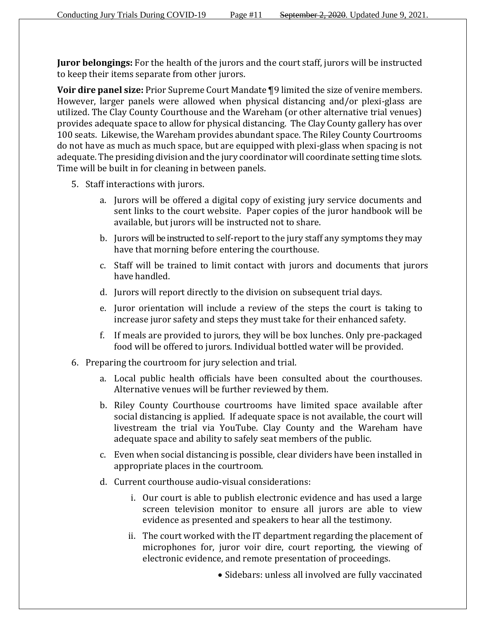**Juror belongings:** For the health of the jurors and the court staff, jurors will be instructed to keep their items separate from other jurors.

**Voir dire panel size:** Prior Supreme Court Mandate ¶9 limited the size of venire members. However, larger panels were allowed when physical distancing and/or plexi-glass are utilized. The Clay County Courthouse and the Wareham (or other alternative trial venues) provides adequate space to allow for physical distancing. The Clay County gallery has over 100 seats. Likewise, the Wareham provides abundant space. The Riley County Courtrooms do not have as much as much space, but are equipped with plexi-glass when spacing is not adequate. The presiding division and the jury coordinator will coordinate setting time slots. Time will be built in for cleaning in between panels.

- 5. Staff interactions with jurors.
	- a. Jurors will be offered a digital copy of existing jury service documents and sent links to the court website. Paper copies of the juror handbook will be available, but jurors will be instructed not to share.
	- b. Jurors will be instructed to self-report to the jury staff any symptoms they may have that morning before entering the courthouse.
	- c. Staff will be trained to limit contact with jurors and documents that jurors have handled.
	- d. Jurors will report directly to the division on subsequent trial days.
	- e. Juror orientation will include a review of the steps the court is taking to increase juror safety and steps they must take for their enhanced safety.
	- f. If meals are provided to jurors, they will be box lunches. Only pre-packaged food will be offered to jurors. Individual bottled water will be provided.
- 6. Preparing the courtroom for jury selection and trial.
	- a. Local public health officials have been consulted about the courthouses. Alternative venues will be further reviewed by them.
	- b. Riley County Courthouse courtrooms have limited space available after social distancing is applied. If adequate space is not available, the court will livestream the trial via YouTube. Clay County and the Wareham have adequate space and ability to safely seat members of the public.
	- c. Even when social distancing is possible, clear dividers have been installed in appropriate places in the courtroom.
	- d. Current courthouse audio-visual considerations:
		- i. Our court is able to publish electronic evidence and has used a large screen television monitor to ensure all jurors are able to view evidence as presented and speakers to hear all the testimony.
		- ii. The court worked with the IT department regarding the placement of microphones for, juror voir dire, court reporting, the viewing of electronic evidence, and remote presentation of proceedings.
			- Sidebars: unless all involved are fully vaccinated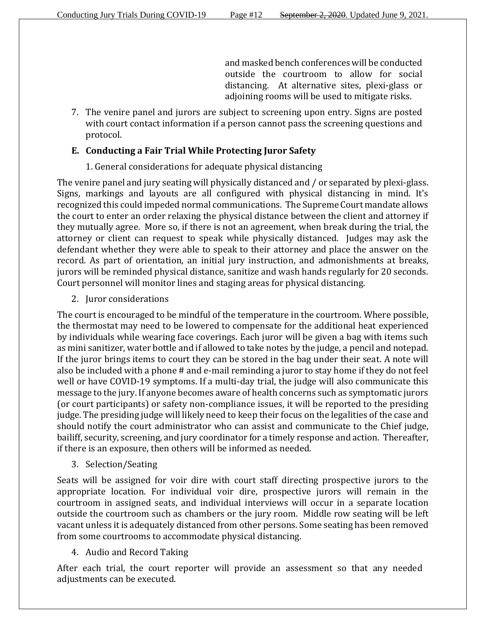and masked bench conferences will be conducted outside the courtroom to allow for social distancing. At alternative sites, plexi-glass or adjoining rooms will be used to mitigate risks.

7. The venire panel and jurors are subject to screening upon entry. Signs are posted with court contact information if a person cannot pass the screening questions and protocol.

### **E. Conducting a Fair Trial While Protecting Juror Safety**

### 1. General considerations for adequate physical distancing

The venire panel and jury seating will physically distanced and / or separated by plexi-glass. Signs, markings and layouts are all configured with physical distancing in mind. It's recognized this could impeded normal communications. The Supreme Court mandate allows the court to enter an order relaxing the physical distance between the client and attorney if they mutually agree. More so, if there is not an agreement, when break during the trial, the attorney or client can request to speak while physically distanced. Judges may ask the defendant whether they were able to speak to their attorney and place the answer on the record. As part of orientation, an initial jury instruction, and admonishments at breaks, jurors will be reminded physical distance, sanitize and wash hands regularly for 20 seconds. Court personnel will monitor lines and staging areas for physical distancing.

2. Juror considerations

The court is encouraged to be mindful of the temperature in the courtroom. Where possible, the thermostat may need to be lowered to compensate for the additional heat experienced by individuals while wearing face coverings. Each juror will be given a bag with items such as mini sanitizer, water bottle and if allowed to take notes by the judge, a pencil and notepad. If the juror brings items to court they can be stored in the bag under their seat. A note will also be included with a phone # and e-mail reminding a juror to stay home if they do not feel well or have COVID-19 symptoms. If a multi-day trial, the judge will also communicate this message to the jury. If anyone becomes aware of health concerns such as symptomatic jurors (or court participants) or safety non-compliance issues, it will be reported to the presiding judge. The presiding judge will likely need to keep their focus on the legalities of the case and should notify the court administrator who can assist and communicate to the Chief judge, bailiff, security, screening, and jury coordinator for a timely response and action. Thereafter, if there is an exposure, then others will be informed as needed.

3. Selection/Seating

Seats will be assigned for voir dire with court staff directing prospective jurors to the appropriate location. For individual voir dire, prospective jurors will remain in the courtroom in assigned seats, and individual interviews will occur in a separate location outside the courtroom such as chambers or the jury room. Middle row seating will be left vacant unless it is adequately distanced from other persons. Some seating has been removed from some courtrooms to accommodate physical distancing.

### 4. Audio and Record Taking

After each trial, the court reporter will provide an assessment so that any needed adjustments can be executed.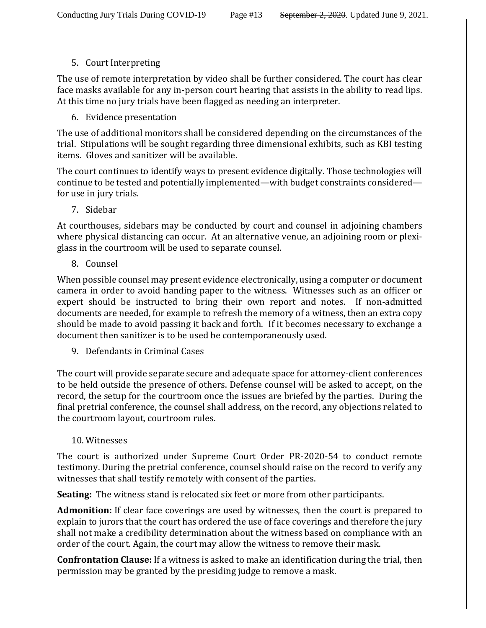# 5. Court Interpreting

The use of remote interpretation by video shall be further considered. The court has clear face masks available for any in-person court hearing that assists in the ability to read lips. At this time no jury trials have been flagged as needing an interpreter.

# 6. Evidence presentation

The use of additional monitors shall be considered depending on the circumstances of the trial. Stipulations will be sought regarding three dimensional exhibits, such as KBI testing items. Gloves and sanitizer will be available.

The court continues to identify ways to present evidence digitally. Those technologies will continue to be tested and potentially implemented—with budget constraints considered for use in jury trials.

7. Sidebar

At courthouses, sidebars may be conducted by court and counsel in adjoining chambers where physical distancing can occur. At an alternative venue, an adjoining room or plexiglass in the courtroom will be used to separate counsel.

8. Counsel

When possible counsel may present evidence electronically, using a computer or document camera in order to avoid handing paper to the witness. Witnesses such as an officer or expert should be instructed to bring their own report and notes. If non-admitted documents are needed, for example to refresh the memory of a witness, then an extra copy should be made to avoid passing it back and forth. If it becomes necessary to exchange a document then sanitizer is to be used be contemporaneously used.

9. Defendants in Criminal Cases

The court will provide separate secure and adequate space for attorney-client conferences to be held outside the presence of others. Defense counsel will be asked to accept, on the record, the setup for the courtroom once the issues are briefed by the parties. During the final pretrial conference, the counsel shall address, on the record, any objections related to the courtroom layout, courtroom rules.

## 10. Witnesses

The court is authorized under Supreme Court Order PR-2020-54 to conduct remote testimony. During the pretrial conference, counsel should raise on the record to verify any witnesses that shall testify remotely with consent of the parties.

**Seating:** The witness stand is relocated six feet or more from other participants.

**Admonition:** If clear face coverings are used by witnesses, then the court is prepared to explain to jurors that the court has ordered the use of face coverings and therefore the jury shall not make a credibility determination about the witness based on compliance with an order of the court. Again, the court may allow the witness to remove their mask.

**Confrontation Clause:** If a witness is asked to make an identification during the trial, then permission may be granted by the presiding judge to remove a mask.